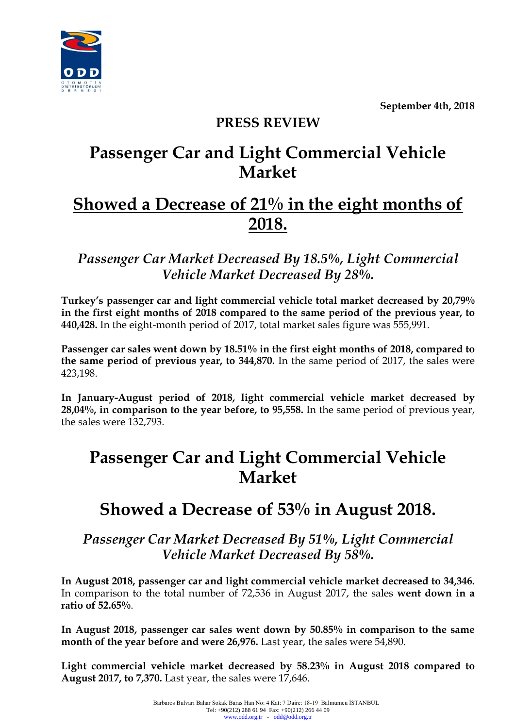**September 4th, 2018**



### **PRESS REVIEW**

# **Passenger Car and Light Commercial Vehicle Market**

## **Showed a Decrease of 21% in the eight months of 2018.**

*Passenger Car Market Decreased By 18.5%, Light Commercial Vehicle Market Decreased By 28%.* 

**Turkey's passenger car and light commercial vehicle total market decreased by 20,79% in the first eight months of 2018 compared to the same period of the previous year, to 440,428.** In the eight-month period of 2017, total market sales figure was 555,991.

**Passenger car sales went down by 18.51% in the first eight months of 2018, compared to the same period of previous year, to 344,870.** In the same period of 2017, the sales were 423,198.

**In January-August period of 2018, light commercial vehicle market decreased by 28,04%, in comparison to the year before, to 95,558.** In the same period of previous year, the sales were 132,793.

## **Passenger Car and Light Commercial Vehicle Market**

### **Showed a Decrease of 53% in August 2018.**

*Passenger Car Market Decreased By 51%, Light Commercial Vehicle Market Decreased By 58%.* 

**In August 2018, passenger car and light commercial vehicle market decreased to 34,346.** In comparison to the total number of 72,536 in August 2017, the sales **went down in a ratio of 52.65%**.

**In August 2018, passenger car sales went down by 50.85% in comparison to the same month of the year before and were 26,976.** Last year, the sales were 54,890.

**Light commercial vehicle market decreased by 58.23% in August 2018 compared to August 2017, to 7,370.** Last year, the sales were 17,646.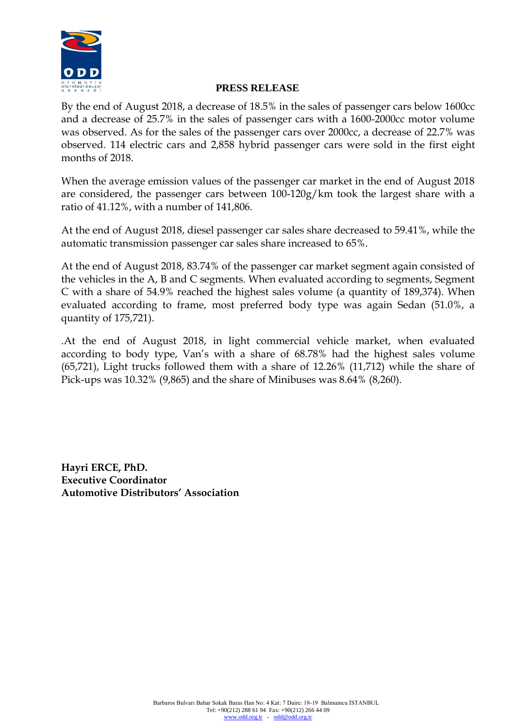

By the end of August 2018, a decrease of 18.5% in the sales of passenger cars below 1600cc and a decrease of 25.7% in the sales of passenger cars with a 1600-2000cc motor volume was observed. As for the sales of the passenger cars over 2000cc, a decrease of 22.7% was observed. 114 electric cars and 2,858 hybrid passenger cars were sold in the first eight months of 2018.

When the average emission values of the passenger car market in the end of August 2018 are considered, the passenger cars between 100-120g/km took the largest share with a ratio of 41.12%, with a number of 141,806.

At the end of August 2018, diesel passenger car sales share decreased to 59.41%, while the automatic transmission passenger car sales share increased to 65%.

At the end of August 2018, 83.74% of the passenger car market segment again consisted of the vehicles in the A, B and C segments. When evaluated according to segments, Segment C with a share of 54.9% reached the highest sales volume (a quantity of 189,374). When evaluated according to frame, most preferred body type was again Sedan (51.0%, a quantity of 175,721).

.At the end of August 2018, in light commercial vehicle market, when evaluated according to body type, Van's with a share of 68.78% had the highest sales volume (65,721), Light trucks followed them with a share of 12.26% (11,712) while the share of Pick-ups was 10.32% (9,865) and the share of Minibuses was 8.64% (8,260).

**Hayri ERCE, PhD. Executive Coordinator Automotive Distributors' Association**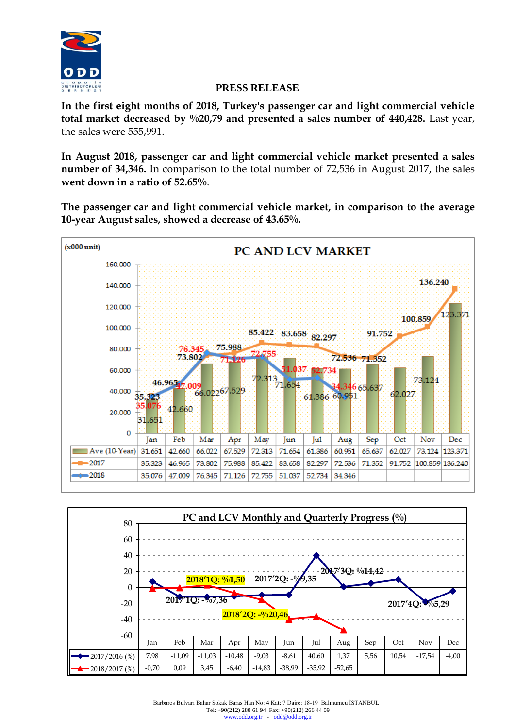

**In the first eight months of 2018, Turkey's passenger car and light commercial vehicle total market decreased by %20,79 and presented a sales number of 440,428.** Last year, the sales were 555,991.

**In August 2018, passenger car and light commercial vehicle market presented a sales number of 34,346.** In comparison to the total number of 72,536 in August 2017, the sales **went down in a ratio of 52.65%**.

**The passenger car and light commercial vehicle market, in comparison to the average 10-year August sales, showed a decrease of 43.65%.** 



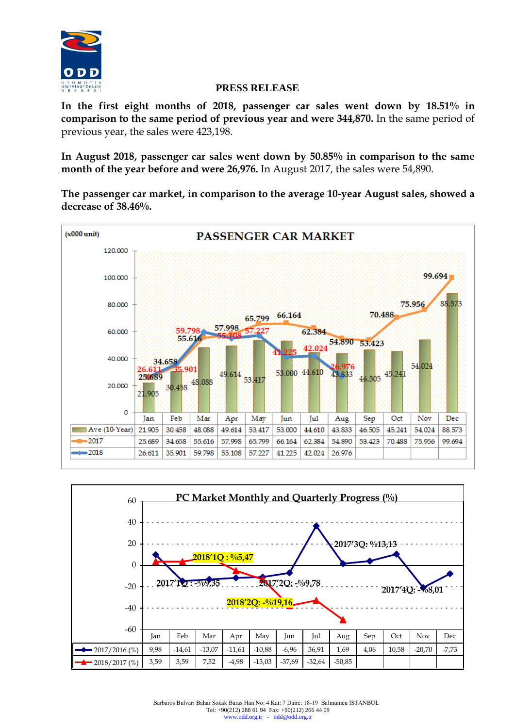

**In the first eight months of 2018, passenger car sales went down by 18.51% in comparison to the same period of previous year and were 344,870.** In the same period of previous year, the sales were 423,198.

**In August 2018, passenger car sales went down by 50.85% in comparison to the same month of the year before and were 26,976.** In August 2017, the sales were 54,890.

**The passenger car market, in comparison to the average 10-year August sales, showed a decrease of 38.46%.**



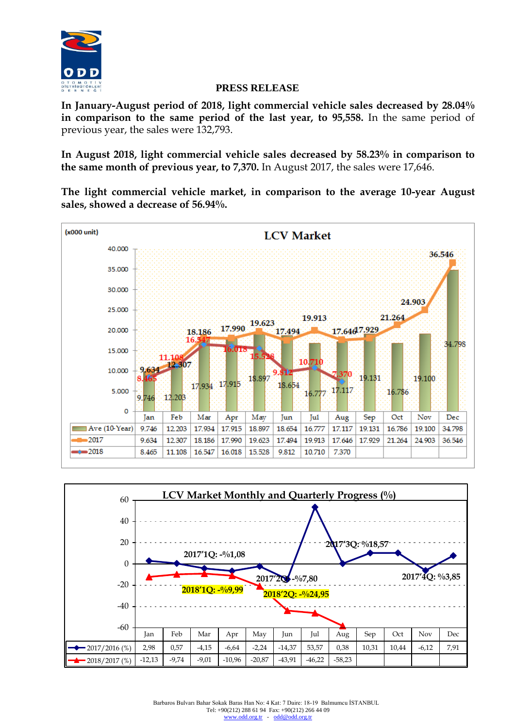

**In January-August period of 2018, light commercial vehicle sales decreased by 28.04% in comparison to the same period of the last year, to 95,558.** In the same period of previous year, the sales were 132,793.

**In August 2018, light commercial vehicle sales decreased by 58.23% in comparison to the same month of previous year, to 7,370.** In August 2017, the sales were 17,646.

**The light commercial vehicle market, in comparison to the average 10-year August sales, showed a decrease of 56.94%.** 



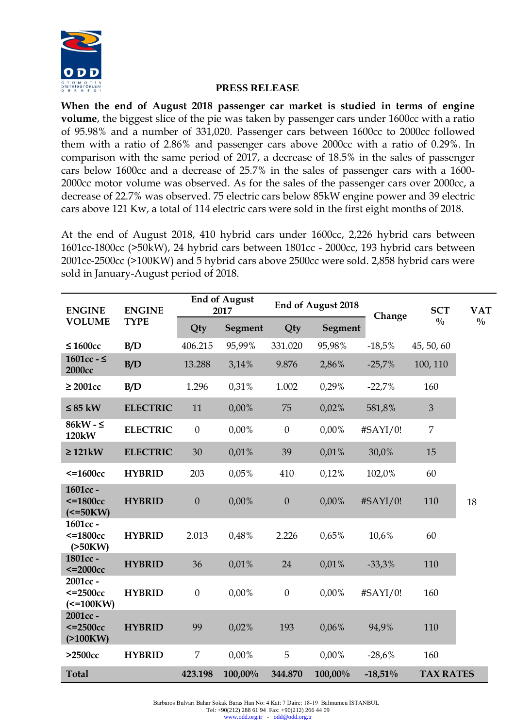

**When the end of August 2018 passenger car market is studied in terms of engine volume**, the biggest slice of the pie was taken by passenger cars under 1600cc with a ratio of 95.98% and a number of 331,020. Passenger cars between 1600cc to 2000cc followed them with a ratio of 2.86% and passenger cars above 2000cc with a ratio of 0.29%. In comparison with the same period of 2017, a decrease of 18.5% in the sales of passenger cars below 1600cc and a decrease of 25.7% in the sales of passenger cars with a 1600- 2000cc motor volume was observed. As for the sales of the passenger cars over 2000cc, a decrease of 22.7% was observed. 75 electric cars below 85kW engine power and 39 electric cars above 121 Kw, a total of 114 electric cars were sold in the first eight months of 2018.

At the end of August 2018, 410 hybrid cars under 1600cc, 2,226 hybrid cars between 1601cc-1800cc (>50kW), 24 hybrid cars between 1801cc - 2000cc, 193 hybrid cars between 2001cc-2500cc (>100KW) and 5 hybrid cars above 2500cc were sold. 2,858 hybrid cars were sold in January-August period of 2018.

| <b>ENGINE</b><br><b>VOLUME</b>                         | <b>ENGINE</b><br><b>TYPE</b> | <b>End of August</b><br>2017 |          | <b>End of August 2018</b> |          | Change    | <b>SCT</b>       | <b>VAT</b>    |
|--------------------------------------------------------|------------------------------|------------------------------|----------|---------------------------|----------|-----------|------------------|---------------|
|                                                        |                              | Qty                          | Segment  | Qty                       | Segment  |           | $\frac{0}{0}$    | $\frac{0}{0}$ |
| $\leq 1600$ cc                                         | B/D                          | 406.215                      | 95,99%   | 331.020                   | 95,98%   | $-18,5%$  | 45, 50, 60       |               |
| 1601cc - $\leq$<br><b>2000cc</b>                       | B/D                          | 13.288                       | 3,14%    | 9.876                     | 2,86%    | $-25,7%$  | 100, 110         |               |
| $\geq 2001$ cc                                         | B/D                          | 1.296                        | 0,31%    | 1.002                     | 0,29%    | $-22,7%$  | 160              |               |
| $\leq$ 85 kW                                           | <b>ELECTRIC</b>              | 11                           | $0,00\%$ | 75                        | 0,02%    | 581,8%    | 3                |               |
| 86kW - $\leq$<br>120kW                                 | <b>ELECTRIC</b>              | $\mathbf{0}$                 | $0,00\%$ | $\boldsymbol{0}$          | $0,00\%$ | #SAYI/0!  | 7                |               |
| $\geq$ 121 kW                                          | <b>ELECTRIC</b>              | 30                           | 0.01%    | 39                        | 0.01%    | 30,0%     | 15               |               |
| $\epsilon$ =1600 $cc$                                  | <b>HYBRID</b>                | 203                          | 0.05%    | 410                       | 0,12%    | 102,0%    | 60               |               |
| 1601cc -<br>$\epsilon$ =1800 $cc$<br>$\epsilon$ =50KW) | <b>HYBRID</b>                | $\boldsymbol{0}$             | $0,00\%$ | $\boldsymbol{0}$          | $0,00\%$ | #SAYI/0!  | 110              | 18            |
| 1601cc -<br>$\epsilon$ =1800 $cc$<br>(>50KW)           | <b>HYBRID</b>                | 2.013                        | 0,48%    | 2.226                     | 0.65%    | 10,6%     | 60               |               |
| 1801cc -<br>$\epsilon$ =2000 $\csc$                    | <b>HYBRID</b>                | 36                           | 0.01%    | 24                        | 0.01%    | $-33,3%$  | 110              |               |
| 2001cc-<br>$\epsilon$ =2500 $cc$<br>$\epsilon$ =100KW) | <b>HYBRID</b>                | $\boldsymbol{0}$             | $0,00\%$ | $\boldsymbol{0}$          | $0,00\%$ | #SAYI/0!  | 160              |               |
| 2001cc-<br>$\epsilon$ =2500 $cc$<br>(>100KW)           | <b>HYBRID</b>                | 99                           | 0,02%    | 193                       | 0.06%    | 94,9%     | 110              |               |
| $>2500cc$                                              | <b>HYBRID</b>                | 7                            | $0,00\%$ | 5                         | $0,00\%$ | $-28,6%$  | 160              |               |
| <b>Total</b>                                           |                              | 423.198                      | 100,00%  | 344.870                   | 100,00%  | $-18,51%$ | <b>TAX RATES</b> |               |

Barbaros Bulvarı Bahar Sokak Baras Han No: 4 Kat: 7 Daire: 18-19 Balmumcu İSTANBUL Tel: +90(212) 288 61 94 Fax: +90(212) 266 44 09 [www.odd.org.tr](http://www.odd.org.tr/) - [odd@odd.org.tr](mailto:odd@odd.org.tr)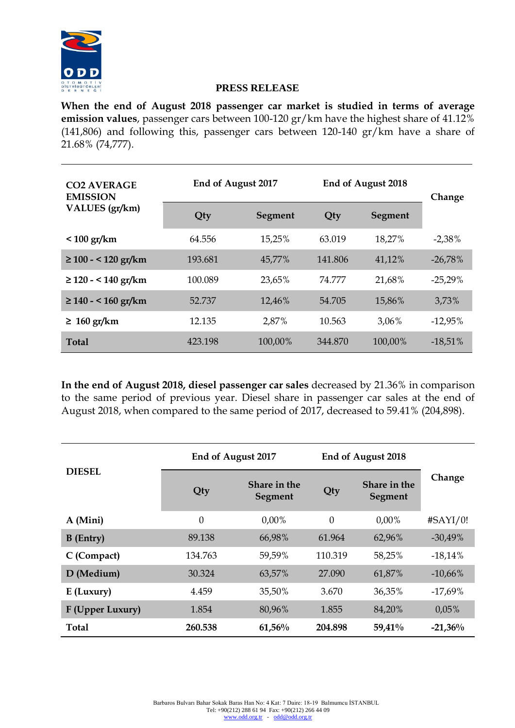

**When the end of August 2018 passenger car market is studied in terms of average emission values**, passenger cars between 100-120 gr/km have the highest share of 41.12% (141,806) and following this, passenger cars between 120-140 gr/km have a share of 21.68% (74,777).

| <b>CO2 AVERAGE</b><br><b>EMISSION</b> | End of August 2017 |         | End of August 2018 | Change         |            |  |
|---------------------------------------|--------------------|---------|--------------------|----------------|------------|--|
| VALUES (gr/km)                        | Qty                | Segment | Qty                | <b>Segment</b> |            |  |
| $< 100$ gr/km                         | 64.556             | 15,25%  | 63.019             | 18,27%         | $-2,38%$   |  |
| $\geq 100 - 120$ gr/km                | 193.681            | 45,77%  | 141.806            | 41,12%         | $-26,78%$  |  |
| $\geq$ 120 - < 140 gr/km              | 100.089            | 23,65%  | 74.777             | 21,68%         | $-25,29\%$ |  |
| $\geq$ 140 - < 160 gr/km              | 52.737             | 12,46%  | 54.705             | 15,86%         | 3,73%      |  |
| $\geq 160$ gr/km                      | 12.135             | 2,87%   | 10.563             | 3,06%          | $-12,95\%$ |  |
| <b>Total</b>                          | 423.198            | 100,00% | 344,870            | 100,00%        | $-18,51%$  |  |

**In the end of August 2018, diesel passenger car sales** decreased by 21.36% in comparison to the same period of previous year. Diesel share in passenger car sales at the end of August 2018, when compared to the same period of 2017, decreased to 59.41% (204,898).

|                  | End of August 2017 |                         | End of August 2018 |                         |            |
|------------------|--------------------|-------------------------|--------------------|-------------------------|------------|
| <b>DIESEL</b>    | Qty                | Share in the<br>Segment | Qty                | Share in the<br>Segment | Change     |
| A (Mini)         | $\overline{0}$     | $0.00\%$                | $\theta$           | $0.00\%$                | #SAYI/0!   |
| <b>B</b> (Entry) | 89.138             | 66,98%                  | 61.964             | 62,96%                  | $-30,49\%$ |
| C (Compact)      | 134.763            | 59,59%                  | 110.319            | 58,25%                  | $-18,14%$  |
| D (Medium)       | 30.324             | 63,57%                  | 27,090             | 61,87%                  | $-10,66%$  |
| $E$ (Luxury)     | 4.459              | 35,50%                  | 3.670              | 36,35%                  | $-17,69\%$ |
| F (Upper Luxury) | 1.854              | 80,96%                  | 1.855              | 84,20%                  | 0.05%      |
| <b>Total</b>     | 260.538            | $61,56\%$               | 204.898            | 59,41%                  | $-21,36%$  |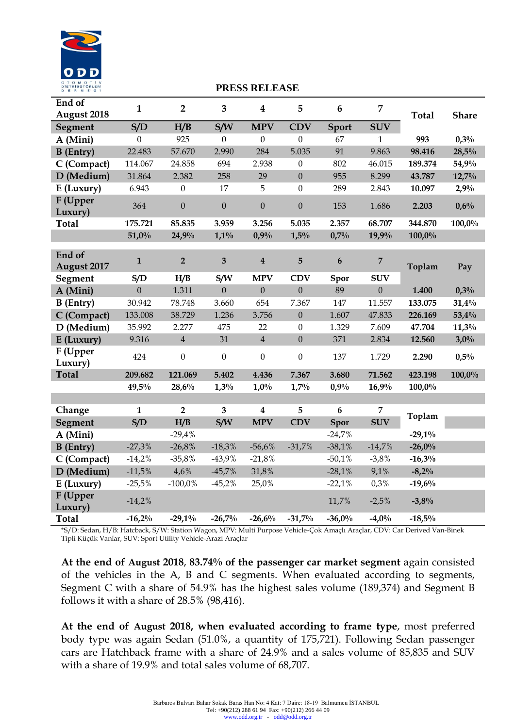

| End of<br><b>August 2018</b> | $\mathbf{1}$ | $\overline{2}$   | $\overline{\mathbf{3}}$ | $\boldsymbol{4}$ | 5                | 6                | 7              | <b>Total</b> | <b>Share</b> |
|------------------------------|--------------|------------------|-------------------------|------------------|------------------|------------------|----------------|--------------|--------------|
| Segment                      | S/D          | H/B              | S/W                     | <b>MPV</b>       | <b>CDV</b>       | Sport            | <b>SUV</b>     |              |              |
| A (Mini)                     | $\mathbf{0}$ | 925              | $\boldsymbol{0}$        | $\boldsymbol{0}$ | $\boldsymbol{0}$ | 67               | $\mathbf{1}$   | 993          | 0,3%         |
| <b>B</b> (Entry)             | 22.483       | 57.670           | 2.990                   | 284              | 5.035            | 91               | 9.863          | 98.416       | 28,5%        |
| C (Compact)                  | 114.067      | 24.858           | 694                     | 2.938            | $\boldsymbol{0}$ | 802              | 46.015         | 189.374      | 54,9%        |
| D (Medium)                   | 31.864       | 2.382            | 258                     | 29               | $\overline{0}$   | 955              | 8.299          | 43.787       | $12,7\%$     |
| E (Luxury)                   | 6.943        | $\boldsymbol{0}$ | 17                      | 5                | $\mathbf{0}$     | 289              | 2.843          | 10.097       | 2,9%         |
| F (Upper<br>Luxury)          | 364          | $\boldsymbol{0}$ | $\overline{0}$          | $\boldsymbol{0}$ | $\overline{0}$   | 153              | 1.686          | 2.203        | 0,6%         |
| <b>Total</b>                 | 175.721      | 85.835           | 3.959                   | 3.256            | 5.035            | 2.357            | 68.707         | 344.870      | $100,0\%$    |
|                              | 51,0%        | 24,9%            | $1,1\%$                 | 0.9%             | 1,5%             | 0,7%             | 19,9%          | 100,0%       |              |
| End of                       |              |                  |                         |                  |                  |                  |                |              |              |
| August 2017                  | $\mathbf{1}$ | $\overline{2}$   | $\overline{\mathbf{3}}$ | $\boldsymbol{4}$ | $5\overline{)}$  | $\boldsymbol{6}$ | $\overline{7}$ | Toplam       | Pay          |
| Segment                      | S/D          | H/B              | S/W                     | <b>MPV</b>       | <b>CDV</b>       | Spor             | <b>SUV</b>     |              |              |
| A (Mini)                     | $\mathbf{0}$ | 1.311            | $\boldsymbol{0}$        | $\boldsymbol{0}$ | $\mathbf{0}$     | 89               | $\overline{0}$ | 1.400        | 0,3%         |
| <b>B</b> (Entry)             | 30.942       | 78.748           | 3.660                   | 654              | 7.367            | 147              | 11.557         | 133.075      | 31,4%        |
| C (Compact)                  | 133.008      | 38.729           | 1.236                   | 3.756            | $\boldsymbol{0}$ | 1.607            | 47.833         | 226.169      | 53,4%        |
| D (Medium)                   | 35.992       | 2.277            | 475                     | 22               | $\mathbf{0}$     | 1.329            | 7.609          | 47.704       | 11,3%        |
| E (Luxury)                   | 9.316        | $\overline{4}$   | 31                      | $\overline{4}$   | $\boldsymbol{0}$ | 371              | 2.834          | 12.560       | 3,0%         |
| F (Upper<br>Luxury)          | 424          | $\boldsymbol{0}$ | $\boldsymbol{0}$        | $\boldsymbol{0}$ | $\mathbf{0}$     | 137              | 1.729          | 2.290        | 0,5%         |
| <b>Total</b>                 | 209.682      | 121.069          | 5.402                   | 4.436            | 7.367            | 3.680            | 71.562         | 423.198      | 100,0%       |
|                              | 49,5%        | 28,6%            | 1,3%                    | $1,0\%$          | 1,7%             | 0.9%             | 16,9%          | 100,0%       |              |
|                              |              |                  |                         |                  |                  |                  |                |              |              |
| Change                       | $\mathbf{1}$ | $\overline{2}$   | $\overline{\mathbf{3}}$ | $\boldsymbol{4}$ | 5                | $6\phantom{1}$   | $\overline{7}$ | Toplam       |              |
| Segment                      | S/D          | H/B              | S/W                     | <b>MPV</b>       | <b>CDV</b>       | Spor             | <b>SUV</b>     |              |              |
| A (Mini)                     |              | $-29,4%$         |                         |                  |                  | $-24,7%$         |                | $-29,1\%$    |              |
| $B$ (Entry)                  | $-27,3%$     | $-26,8%$         | $-18,3%$                | $-56,6%$         | $-31,7%$         | $-38,1%$         | $-14,7%$       | $-26,0%$     |              |
| C (Compact)                  | $-14,2%$     | $-35,8%$         | $-43,9%$                | $-21,8%$         |                  | $-50,1%$         | $-3,8%$        | $-16,3%$     |              |
| D (Medium)                   | $-11,5%$     | 4,6%             | $-45,7%$                | 31,8%            |                  | $-28,1%$         | 9,1%           | $-8,2\%$     |              |
| E (Luxury)                   | $-25,5%$     | $-100,0%$        | $-45,2%$                | 25,0%            |                  | $-22,1%$         | 0,3%           | $-19,6%$     |              |
| F (Upper<br>Luxury)          | $-14,2%$     |                  |                         |                  |                  | 11,7%            | $-2,5%$        | $-3,8%$      |              |
| <b>Total</b>                 | $-16,2%$     | $-29,1\%$        | $-26,7%$                | $-26,6%$         | $-31,7%$         | $-36,0%$         | $-4,0%$        | $-18,5%$     |              |

\*S/D: Sedan, H/B: Hatcback, S/W: Station Wagon, MPV: Multi Purpose Vehicle-Çok Amaçlı Araçlar, CDV: Car Derived Van-Binek Tipli Küçük Vanlar, SUV: Sport Utility Vehicle-Arazi Araçlar

**At the end of August 2018**, **83.74% of the passenger car market segment** again consisted of the vehicles in the A, B and C segments. When evaluated according to segments, Segment C with a share of 54.9% has the highest sales volume (189,374) and Segment B follows it with a share of 28.5% (98,416).

**At the end of August 2018, when evaluated according to frame type**, most preferred body type was again Sedan (51.0%, a quantity of 175,721). Following Sedan passenger cars are Hatchback frame with a share of 24.9% and a sales volume of 85,835 and SUV with a share of 19.9% and total sales volume of 68,707.